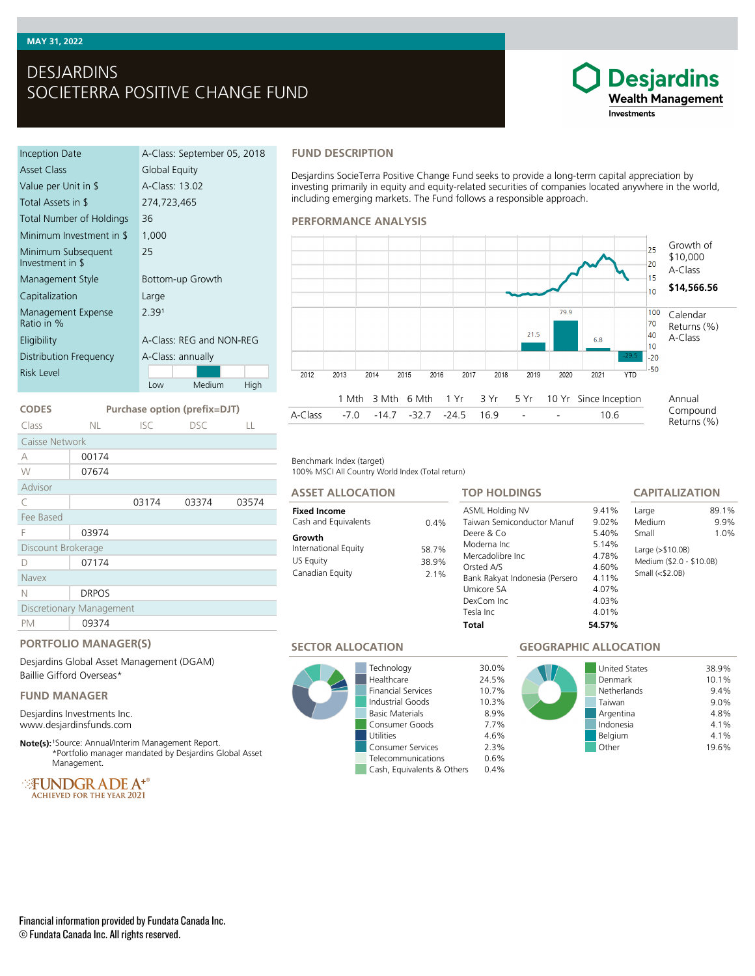# DESJARDINS SOCIETERRA POSITIVE CHANGE FUND

#### Inception Date A-Class: September 05, 2018 Asset Class Global Equity Value per Unit in \$ A-Class: 13.02 Total Assets in \$ 274,723,465 Total Number of Holdings 36 Minimum Investment in \$ 1,000 Minimum Subsequent Investment in \$ 25 Management Style **Bottom-up Growth** Capitalization Large Management Expense Ratio in % 2.391 Eligibility A-Class: REG and NON-REG Distribution Frequency A-Class: annually Low Medium High Risk Level

# **CODES Purchase option (prefix=DJT)**

| Class                    | NL.          | <b>ISC</b> | <b>DSC</b> | LL    |
|--------------------------|--------------|------------|------------|-------|
| Caisse Network           |              |            |            |       |
| A                        | 00174        |            |            |       |
| W                        | 07674        |            |            |       |
| Advisor                  |              |            |            |       |
| C                        |              | 03174      | 03374      | 03574 |
| Fee Based                |              |            |            |       |
| F                        | 03974        |            |            |       |
| Discount Brokerage       |              |            |            |       |
| D                        | 07174        |            |            |       |
| <b>Navex</b>             |              |            |            |       |
| Ν                        | <b>DRPOS</b> |            |            |       |
| Discretionary Management |              |            |            |       |
| PM                       | 09374        |            |            |       |
|                          |              |            |            |       |

#### **FUND DESCRIPTION**

Desjardins SocieTerra Positive Change Fund seeks to provide a long-term capital appreciation by investing primarily in equity and equity-related securities of companies located anywhere in the world, including emerging markets. The Fund follows a responsible approach.

#### **PERFORMANCE ANALYSIS**



#### Benchmark Index (target)

100% MSCI All Country World Index (Total return)

### **ASSET ALLOCATION**

#### **Fixed Income** Cash and Equivalents 0.4%

#### **Growth** International Equity 58.7% US Equity 38.9% Canadian Equity 2.1%

**TOP HOLDINGS**

#### ASML Holding NV 9.41%<br>Taiwan Semiconductor Manuf 9.02% Taiwan Semiconductor Manuf 9.02% Deere & Co 5.40% Moderna Inc 5.14% Mercadolibre Inc 4.78% Orsted A/S 4.60% Bank Rakyat Indonesia (Persero 4.11%<br>Umicore SA 4.07% Umicore SA DexCom Inc 4.03% Tesla Inc 4.01% **Total 54.57%** Large 89.1%<br>Medium 9.9% Medium Small 1.0% Large (>\$10.0B) Medium (\$2.0 - \$10.0B) Small (<\$2.0B)

#### **SECTOR ALLOCATION**



Technology 30.0% Healthcare 24.5% Financial Services 10.7% Industrial Goods 10.3% **Basic Materials** Consumer Goods 7.7% Utilities 4.6% Consumer Services 2.3% Telecommunications 0.6% Cash, Equivalents & Others 0.4%

## **GEOGRAPHIC ALLOCATION**



**CAPITALIZATION**

**Desjardins Wealth Management** 

Investments

# **PORTFOLIO MANAGER(S)**

Desjardins Global Asset Management (DGAM) Baillie Gifford Overseas\*

#### **FUND MANAGER**

Desjardins Investments Inc. www.desjardinsfunds.com

**Note(s):** <sup>1</sup>Source: Annual/Interim Management Report. \*Portfolio manager mandated by Desjardins Global Asset Management.